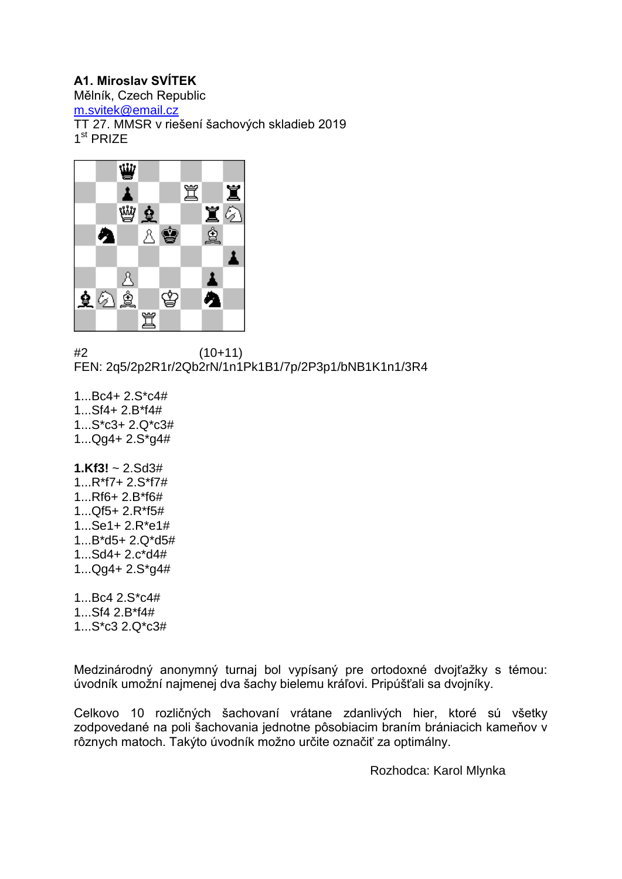# **A1. Miroslav SVÍTEK**

Mělník, Czech Republic

[m.svitek@email.cz](mailto:m.svitek@email.cz)

TT 27. MMSR v riešení šachových skladieb 2019

1<sup>st</sup> PRIZE



#2 (10+11) FEN: 2q5/2p2R1r/2Qb2rN/1n1Pk1B1/7p/2P3p1/bNB1K1n1/3R4

1.  $Rc4 + 2S<sup>*</sup>c4#$ 1...Sf4+ 2.B\*f4# 1...S\*c3+ 2.Q\*c3# 1...Qg4+ 2.S\*g4#

**1.Kf3!** ~ 2.Sd3# 1...R\*f7+ 2.S\*f7# 1...Rf6+ 2.B\*f6# 1...Qf5+ 2.R\*f5# 1...Se1+ 2.R\*e1# 1...B\*d5+ 2.Q\*d5# 1...Sd4+ 2.c\*d4# 1...Qg4+ 2.S\*g4#

1...Bc4 2.S\*c4# 1...Sf4 2.B\*f4# 1...S\*c3 2.Q\*c3#

Medzinárodný anonymný turnaj bol vypísaný pre ortodoxné dvojťažky s témou: úvodník umožní najmenej dva šachy bielemu kráľovi. Pripúšťali sa dvojníky.

Celkovo 10 rozličných šachovaní vrátane zdanlivých hier, ktoré sú všetky zodpovedané na poli šachovania jednotne pôsobiacim braním brániacich kameňov v rôznych matoch. Takýto úvodník možno určite označiť za optimálny.

Rozhodca: Karol Mlynka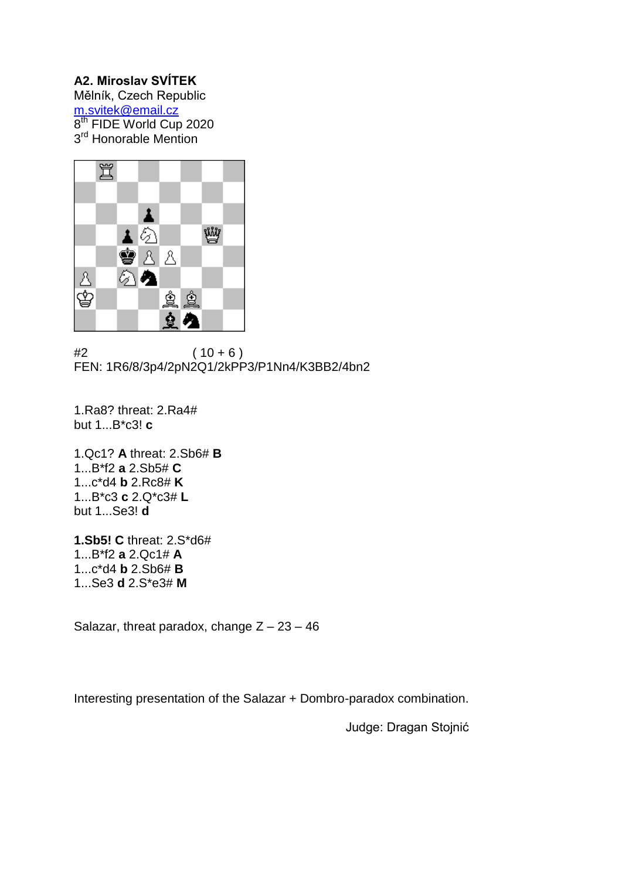# **A2. Miroslav SVÍTEK**

Mělník, Czech Republic [m.svitek@email.cz](mailto:m.svitek@email.cz) 8<sup>th</sup> FIDE World Cup 2020 3<sup>rd</sup> Honorable Mention



 $#2$  (  $10 + 6$  ) FEN: 1R6/8/3p4/2pN2Q1/2kPP3/P1Nn4/K3BB2/4bn2

1.Ra8? threat: 2.Ra4# but 1...B\*c3! **c**

1.Qc1? **A** threat: 2.Sb6# **B** 1...B\*f2 **a** 2.Sb5# **C** 1...c\*d4 **b** 2.Rc8# **K** 1...B\*c3 **c** 2.Q\*c3# **L** but 1...Se3! **d**

**1.Sb5! C** threat: 2.S\*d6# 1...B\*f2 **a** 2.Qc1# **A** 1...c\*d4 **b** 2.Sb6# **B** 1...Se3 **d** 2.S\*e3# **M**

Salazar, threat paradox, change  $Z - 23 - 46$ 

Interesting presentation of the Salazar + Dombro-paradox combination.

Judge: Dragan Stojnić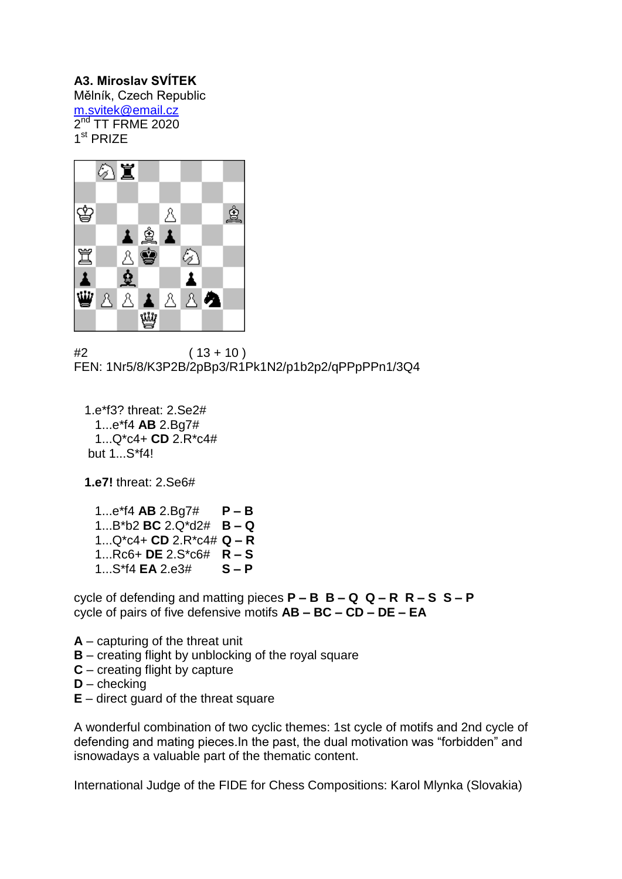# **A3. Miroslav SVÍTEK**

Mělník, Czech Republic [m.svitek@email.cz](mailto:m.svitek@email.cz)  $2^{\text{nd}}$  TT FRME 2020 1<sup>st</sup> PRIZE



 $#2$  (  $13 + 10$  ) FEN: 1Nr5/8/K3P2B/2pBp3/R1Pk1N2/p1b2p2/qPPpPPn1/3Q4

 1.e\*f3? threat: 2.Se2# 1...e\*f4 **AB** 2.Bg7# 1...Q\*c4+ **CD** 2.R\*c4# but 1...S\*f4!

**1.e7!** threat: 2.Se6#

 1...e\*f4 **AB** 2.Bg7# **P – B**  1...B\*b2 **BC** 2.Q\*d2# **B – Q**  1...Q\*c4+ **CD** 2.R\*c4# **Q – R**  1...Rc6+ **DE** 2.S\*c6# **R – S**  1. S\*f4 **FA** 2 e3#

cycle of defending and matting pieces **P – B B – Q Q – R R – S S – P**  cycle of pairs of five defensive motifs **AB – BC – CD – DE – EA** 

- **A** capturing of the threat unit
- **B** creating flight by unblocking of the royal square
- **C** creating flight by capture
- **D** checking
- **E** direct guard of the threat square

A wonderful combination of two cyclic themes: 1st cycle of motifs and 2nd cycle of defending and mating pieces.In the past, the dual motivation was "forbidden" and isnowadays a valuable part of the thematic content.

International Judge of the FIDE for Chess Compositions: Karol Mlynka (Slovakia)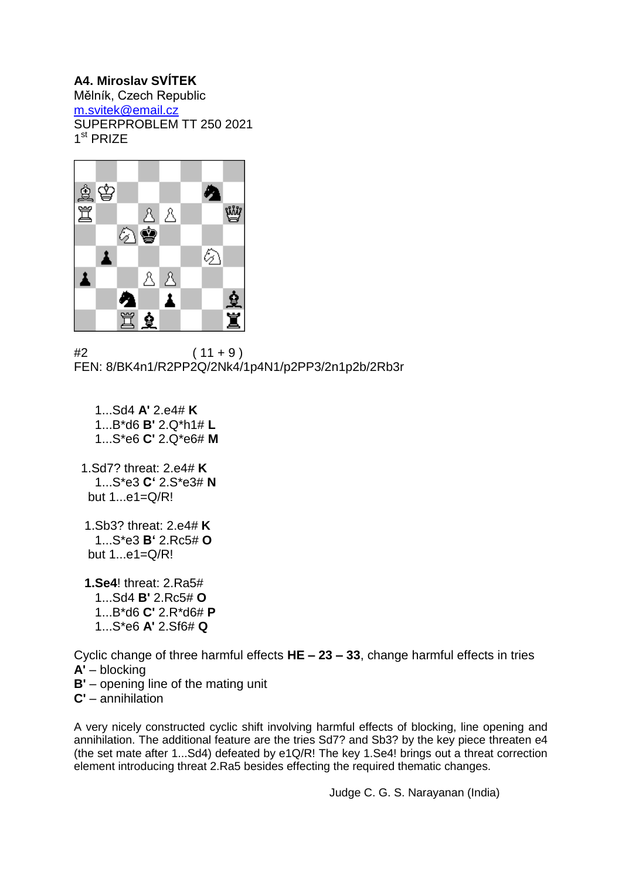# **A4. Miroslav SVÍTEK**

Mělník, Czech Republic [m.svitek@email.cz](mailto:m.svitek@email.cz) SUPERPROBLEM TT 250 2021 1<sup>st</sup> PRIZE



 $#2$  (11 + 9) FEN: 8/BK4n1/R2PP2Q/2Nk4/1p4N1/p2PP3/2n1p2b/2Rb3r

- 1...Sd4 **A'** 2.e4# **K** 1...B\*d6 **B'** 2.Q\*h1# **L** 1...S\*e6 **C'** 2.Q\*e6# **M**
- 1.Sd7? threat: 2.e4# **K** 1...S\*e3 **C'** 2.S\*e3# **N** but 1...e1=Q/R!
- 1.Sb3? threat: 2.e4# **K** 1...S\*e3 **B'** 2.Rc5# **O** but 1...e1=Q/R!
- **1.Se4**! threat: 2.Ra5# 1...Sd4 **B'** 2.Rc5# **O** 1...B\*d6 **C'** 2.R\*d6# **P** 1...S\*e6 **A'** 2.Sf6# **Q**

Cyclic change of three harmful effects **HE – 23 – 33**, change harmful effects in tries **A'** – blocking

**B'** – opening line of the mating unit

**C'** – annihilation

A very nicely constructed cyclic shift involving harmful effects of blocking, line opening and annihilation. The additional feature are the tries Sd7? and Sb3? by the key piece threaten e4 (the set mate after 1...Sd4) defeated by e1Q/R! The key 1.Se4! brings out a threat correction element introducing threat 2.Ra5 besides effecting the required thematic changes.

Judge C. G. S. Narayanan (India)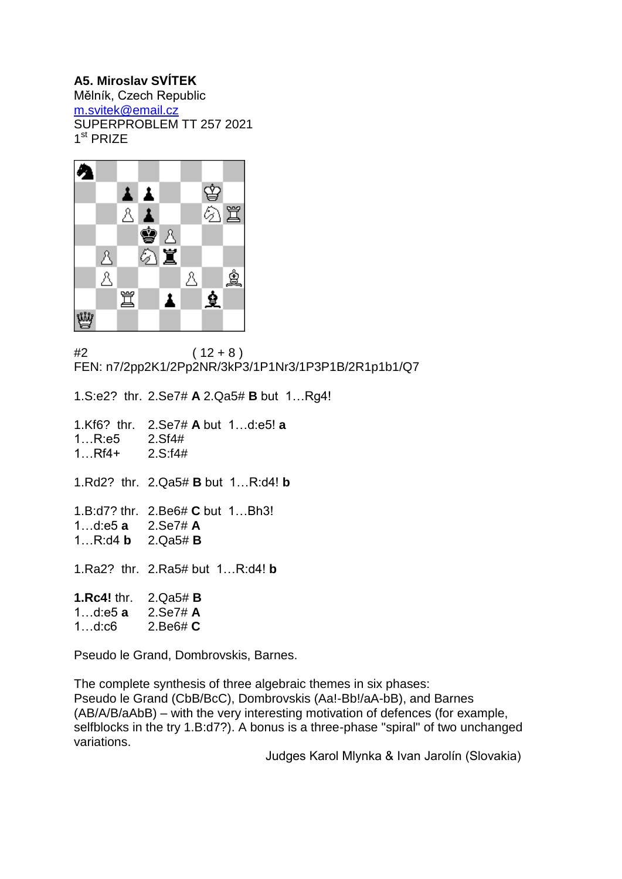#### **A5. Miroslav SVÍTEK**

Mělník, Czech Republic [m.svitek@email.cz](mailto:m.svitek@email.cz) SUPERPROBLEM TT 257 2021 1<sup>st</sup> PRIZE



 $#2$  (  $12 + 8$  ) FEN: n7/2pp2K1/2Pp2NR/3kP3/1P1Nr3/1P3P1B/2R1p1b1/Q7

1.S:e2? thr. 2.Se7# **A** 2.Qa5# **B** but 1…Rg4! 1.Kf6? thr. 2.Se7# **A** but 1…d:e5! **a** 1…R:e5 2.Sf4# 1…Rf4+ 2.S:f4# 1.Rd2? thr. 2.Qa5# **B** but 1…R:d4! **b**  1.B:d7? thr. 2.Be6# **C** but 1…Bh3! 1…d:e5 **a** 2.Se7# **A** 1…R:d4 **b** 2.Qa5# **B** 1.Ra2? thr. 2.Ra5# but 1…R:d4! **b 1.Rc4!** thr. 2.Qa5# **B** 1…d:e5 **a** 2.Se7# **A**

1…d:c6 2.Be6# **C**

Pseudo le Grand, Dombrovskis, Barnes.

The complete synthesis of three algebraic themes in six phases: Pseudo le Grand (CbB/BcC), Dombrovskis (Aa!-Bb!/aA-bB), and Barnes (AB/A/B/aAbB) – with the very interesting motivation of defences (for example, selfblocks in the try 1.B:d7?). A bonus is a three-phase "spiral" of two unchanged variations.

Judges Karol Mlynka & Ivan Jarolín (Slovakia)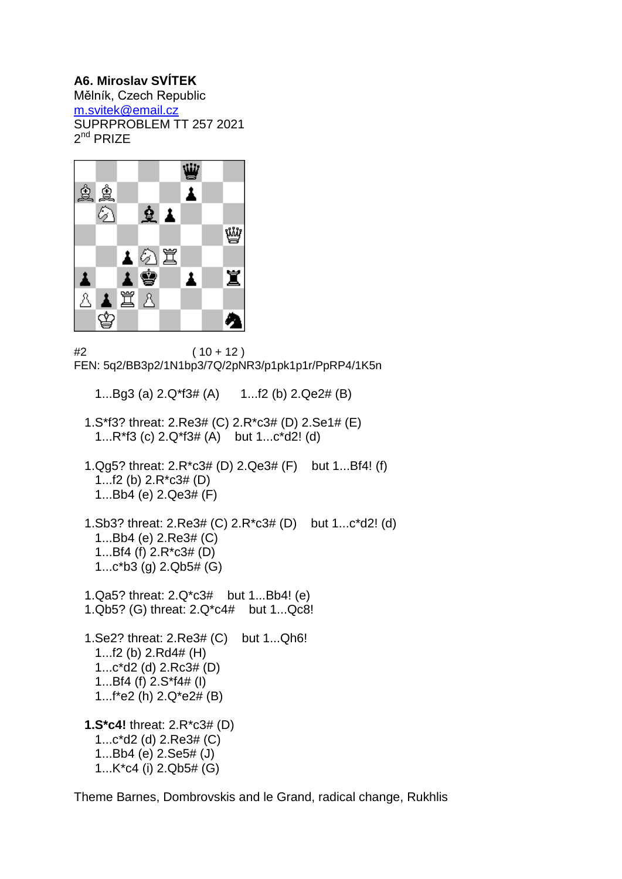#### **A6. Miroslav SVÍTEK**

Mělník, Czech Republic [m.svitek@email.cz](mailto:m.svitek@email.cz) SUPRPROBLEM TT 257 2021 2<sup>nd</sup> PRIZE



 $#2$  (  $10 + 12$  ) FEN: 5q2/BB3p2/1N1bp3/7Q/2pNR3/p1pk1p1r/PpRP4/1K5n

- 1...Bg3 (a) 2.Q\*f3# (A) 1...f2 (b) 2.Qe2# (B)
- 1.S\*f3? threat: 2.Re3# (C) 2.R\*c3# (D) 2.Se1# (E) 1...R\*f3 (c) 2.Q\*f3# (A) but 1...c\*d2! (d)
- 1.Qg5? threat: 2.R\*c3# (D) 2.Qe3# (F) but 1...Bf4! (f) 1...f2 (b) 2.R\*c3# (D) 1...Bb4 (e) 2.Qe3# (F)
- 1.Sb3? threat: 2.Re3# (C) 2.R\*c3# (D) but 1...c\*d2! (d) 1...Bb4 (e) 2.Re3# (C) 1...Bf4 (f) 2.R\*c3# (D) 1...c\*b3 (g) 2.Qb5# (G)
- 1.Qa5? threat: 2.Q\*c3# but 1...Bb4! (e) 1.Qb5? (G) threat: 2.Q\*c4# but 1...Qc8! 1.Se2? threat: 2.Re3# (C) but 1...Qh6! 1...f2 (b) 2.Rd4# (H) 1...c\*d2 (d) 2.Rc3# (D) 1...Bf4 (f) 2.S\*f4# (I)
- 1...f\*e2 (h) 2.Q\*e2# (B)

 **1.S\*c4!** threat: 2.R\*c3# (D) 1...c\*d2 (d) 2.Re3# (C) 1...Bb4 (e) 2.Se5# (J) 1...K\*c4 (i) 2.Qb5# (G)

Theme Barnes, Dombrovskis and le Grand, radical change, Rukhlis